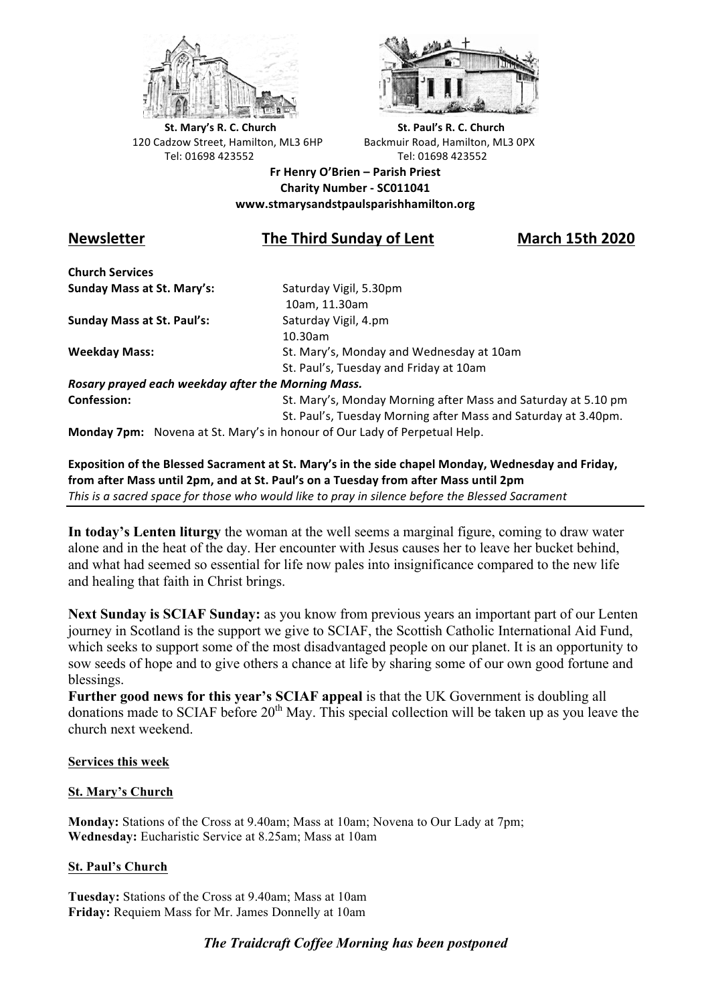



**St.** Mary's R. C. Church St. Paul's R. C. Church 120 Cadzow Street, Hamilton, ML3 6HP Backmuir Road, Hamilton, ML3 0PX Tel: 01698 423552 Tel: 01698 423552

**Fr Henry O'Brien – Parish Priest Charity Number - SC011041 www.stmarysandstpaulsparishhamilton.org**

# **Newsletter The Third Sunday of Lent March 15th 2020**

**Church Services Sunday Mass at St. Mary's:** Saturday Vigil, 5.30pm

**Sunday Mass at St. Paul's:** Saturday Vigil, 4.pm

 10am, 11.30am 10.30am **Weekday Mass:** St. Mary's, Monday and Wednesday at 10am St. Paul's, Tuesday and Friday at 10am

*Rosary prayed each weekday after the Morning Mass.* **Confession:** St. Mary's, Monday Morning after Mass and Saturday at 5.10 pm

St. Paul's, Tuesday Morning after Mass and Saturday at 3.40pm.

**Monday 7pm:** Novena at St. Mary's in honour of Our Lady of Perpetual Help.

**Exposition of the Blessed Sacrament at St. Mary's in the side chapel Monday, Wednesday and Friday,** from after Mass until 2pm, and at St. Paul's on a Tuesday from after Mass until 2pm This is a sacred space for those who would like to pray in silence before the Blessed Sacrament

**In today's Lenten liturgy** the woman at the well seems a marginal figure, coming to draw water alone and in the heat of the day. Her encounter with Jesus causes her to leave her bucket behind, and what had seemed so essential for life now pales into insignificance compared to the new life and healing that faith in Christ brings.

**Next Sunday is SCIAF Sunday:** as you know from previous years an important part of our Lenten journey in Scotland is the support we give to SCIAF, the Scottish Catholic International Aid Fund, which seeks to support some of the most disadvantaged people on our planet. It is an opportunity to sow seeds of hope and to give others a chance at life by sharing some of our own good fortune and blessings.

**Further good news for this year's SCIAF appeal** is that the UK Government is doubling all donations made to SCIAF before  $20<sup>th</sup>$  May. This special collection will be taken up as you leave the church next weekend.

**Services this week**

## **St. Mary's Church**

**Monday:** Stations of the Cross at 9.40am; Mass at 10am; Novena to Our Lady at 7pm; **Wednesday:** Eucharistic Service at 8.25am; Mass at 10am

## **St. Paul's Church**

**Tuesday:** Stations of the Cross at 9.40am; Mass at 10am **Friday:** Requiem Mass for Mr. James Donnelly at 10am

## *The Traidcraft Coffee Morning has been postponed*